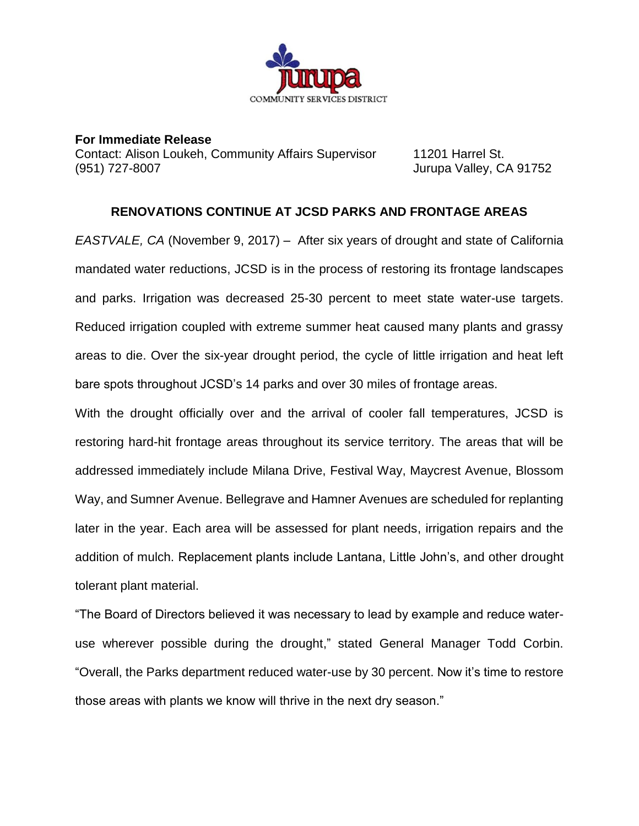

**For Immediate Release** Contact: Alison Loukeh, Community Affairs Supervisor 11201 Harrel St. (951) 727-8007 Jurupa Valley, CA 91752

## **RENOVATIONS CONTINUE AT JCSD PARKS AND FRONTAGE AREAS**

*EASTVALE, CA* (November 9, 2017) – After six years of drought and state of California mandated water reductions, JCSD is in the process of restoring its frontage landscapes and parks. Irrigation was decreased 25-30 percent to meet state water-use targets. Reduced irrigation coupled with extreme summer heat caused many plants and grassy areas to die. Over the six-year drought period, the cycle of little irrigation and heat left bare spots throughout JCSD's 14 parks and over 30 miles of frontage areas.

With the drought officially over and the arrival of cooler fall temperatures, JCSD is restoring hard-hit frontage areas throughout its service territory. The areas that will be addressed immediately include Milana Drive, Festival Way, Maycrest Avenue, Blossom Way, and Sumner Avenue. Bellegrave and Hamner Avenues are scheduled for replanting later in the year. Each area will be assessed for plant needs, irrigation repairs and the addition of mulch. Replacement plants include Lantana, Little John's, and other drought tolerant plant material.

"The Board of Directors believed it was necessary to lead by example and reduce wateruse wherever possible during the drought," stated General Manager Todd Corbin. "Overall, the Parks department reduced water-use by 30 percent. Now it's time to restore those areas with plants we know will thrive in the next dry season."